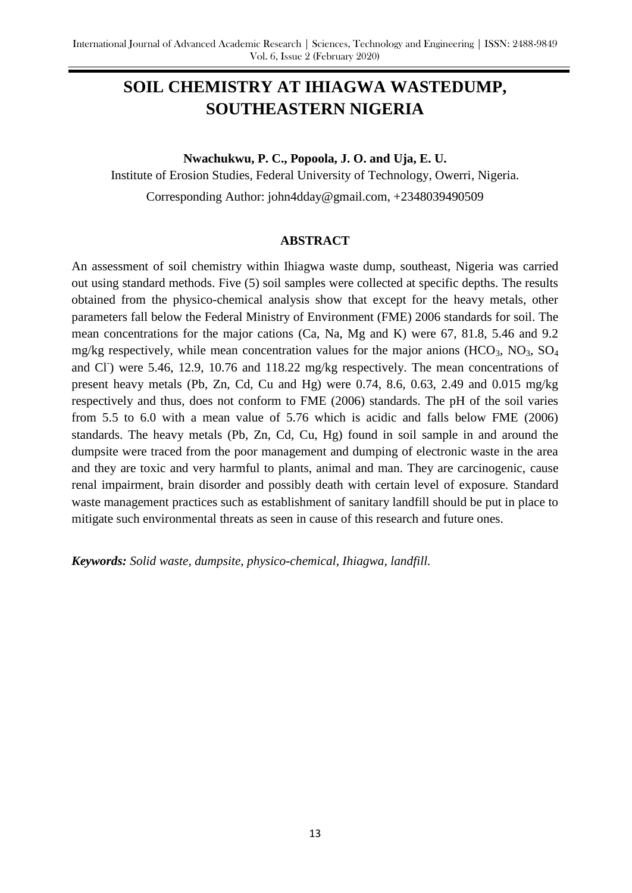# **SOIL CHEMISTRY AT IHIAGWA WASTEDUMP, SOUTHEASTERN NIGERIA**

**Nwachukwu, P. C., Popoola, J. O. and Uja, E. U.** Institute of Erosion Studies, Federal University of Technology, Owerri, Nigeria.

Corresponding Author: john4dday@gmail.com, +2348039490509

#### **ABSTRACT**

An assessment of soil chemistry within Ihiagwa waste dump, southeast, Nigeria was carried out using standard methods. Five (5) soil samples were collected at specific depths. The results obtained from the physico-chemical analysis show that except for the heavy metals, other parameters fall below the Federal Ministry of Environment (FME) 2006 standards for soil. The mean concentrations for the major cations (Ca, Na, Mg and K) were 67, 81.8, 5.46 and 9.2 mg/kg respectively, while mean concentration values for the major anions  $(HCO<sub>3</sub>, NO<sub>3</sub>, SO<sub>4</sub>)$ and Cl<sup>-</sup>) were 5.46, 12.9, 10.76 and 118.22 mg/kg respectively. The mean concentrations of present heavy metals (Pb, Zn, Cd, Cu and Hg) were 0.74, 8.6, 0.63, 2.49 and 0.015 mg/kg respectively and thus, does not conform to FME (2006) standards. The pH of the soil varies from 5.5 to 6.0 with a mean value of 5.76 which is acidic and falls below FME (2006) standards. The heavy metals (Pb, Zn, Cd, Cu, Hg) found in soil sample in and around the dumpsite were traced from the poor management and dumping of electronic waste in the area and they are toxic and very harmful to plants, animal and man. They are carcinogenic, cause renal impairment, brain disorder and possibly death with certain level of exposure. Standard waste management practices such as establishment of sanitary landfill should be put in place to mitigate such environmental threats as seen in cause of this research and future ones.

*Keywords: Solid waste, dumpsite, physico-chemical, Ihiagwa, landfill.*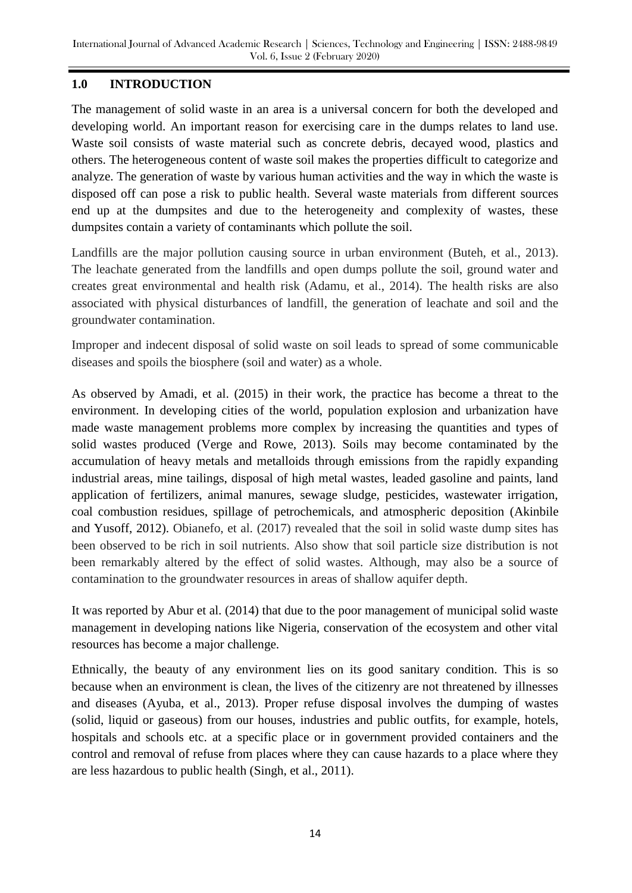## **1.0 INTRODUCTION**

The management of solid waste in an area is a universal concern for both the developed and developing world. An important reason for exercising care in the dumps relates to land use. Waste soil consists of waste material such as concrete debris, decayed wood, plastics and others. The heterogeneous content of waste soil makes the properties difficult to categorize and analyze. The generation of waste by various human activities and the way in which the waste is disposed off can pose a risk to public health. Several waste materials from different sources end up at the dumpsites and due to the heterogeneity and complexity of wastes, these dumpsites contain a variety of contaminants which pollute the soil.

Landfills are the major pollution causing source in urban environment (Buteh, et al., 2013). The leachate generated from the landfills and open dumps pollute the soil, ground water and creates great environmental and health risk (Adamu, et al., 2014). The health risks are also associated with physical disturbances of landfill, the generation of leachate and soil and the groundwater contamination.

Improper and indecent disposal of solid waste on soil leads to spread of some communicable diseases and spoils the biosphere (soil and water) as a whole.

As observed by Amadi, et al. (2015) in their work, the practice has become a threat to the environment. In developing cities of the world, population explosion and urbanization have made waste management problems more complex by increasing the quantities and types of solid wastes produced (Verge and Rowe, 2013). Soils may become contaminated by the accumulation of heavy metals and metalloids through emissions from the rapidly expanding industrial areas, mine tailings, disposal of high metal wastes, leaded gasoline and paints, land application of fertilizers, animal manures, sewage sludge, pesticides, wastewater irrigation, coal combustion residues, spillage of petrochemicals, and atmospheric deposition (Akinbile and Yusoff, 2012). Obianefo, et al. (2017) revealed that the soil in solid waste dump sites has been observed to be rich in soil nutrients. Also show that soil particle size distribution is not been remarkably altered by the effect of solid wastes. Although, may also be a source of contamination to the groundwater resources in areas of shallow aquifer depth.

It was reported by Abur et al. (2014) that due to the poor management of municipal solid waste management in developing nations like Nigeria, conservation of the ecosystem and other vital resources has become a major challenge.

Ethnically, the beauty of any environment lies on its good sanitary condition. This is so because when an environment is clean, the lives of the citizenry are not threatened by illnesses and diseases (Ayuba, et al., 2013). Proper refuse disposal involves the dumping of wastes (solid, liquid or gaseous) from our houses, industries and public outfits, for example, hotels, hospitals and schools etc. at a specific place or in government provided containers and the control and removal of refuse from places where they can cause hazards to a place where they are less hazardous to public health (Singh, et al., 2011).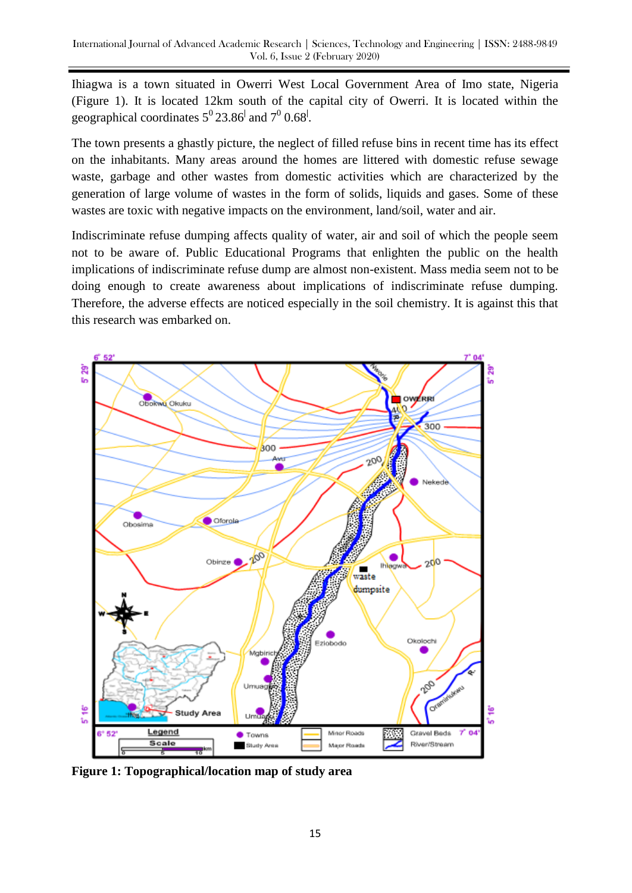Ihiagwa is a town situated in Owerri West Local Government Area of Imo state, Nigeria (Figure 1). It is located 12km south of the capital city of Owerri. It is located within the geographical coordinates  $5^{\circ}$  23.86<sup> $\mid$ </sup> and  $7^{\circ}$  0.68<sup> $\mid$ </sup>.

The town presents a ghastly picture, the neglect of filled refuse bins in recent time has its effect on the inhabitants. Many areas around the homes are littered with domestic refuse sewage waste, garbage and other wastes from domestic activities which are characterized by the generation of large volume of wastes in the form of solids, liquids and gases. Some of these wastes are toxic with negative impacts on the environment, land/soil, water and air.

Indiscriminate refuse dumping affects quality of water, air and soil of which the people seem not to be aware of. Public Educational Programs that enlighten the public on the health implications of indiscriminate refuse dump are almost non-existent. Mass media seem not to be doing enough to create awareness about implications of indiscriminate refuse dumping. Therefore, the adverse effects are noticed especially in the soil chemistry. It is against this that this research was embarked on.



**Figure 1: Topographical/location map of study area**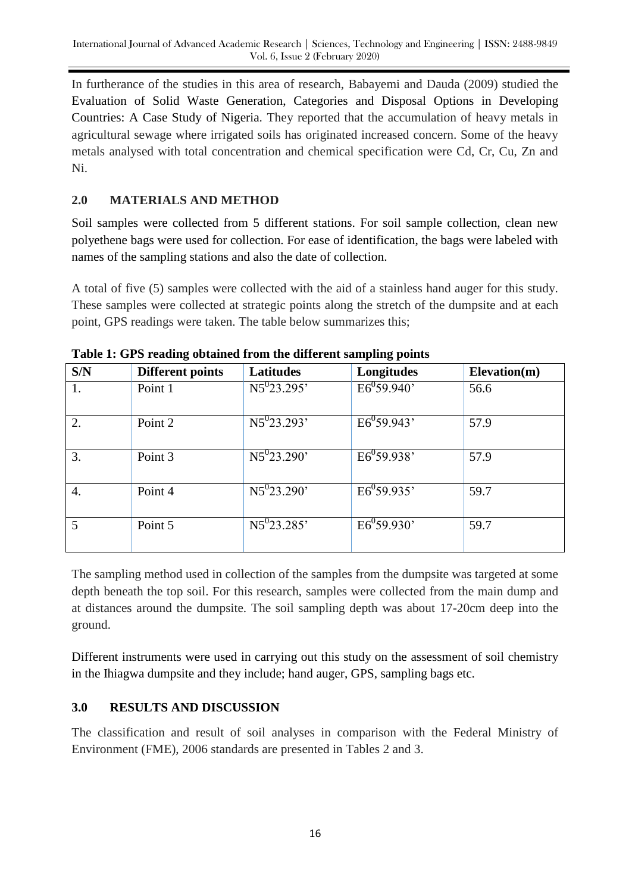In furtherance of the studies in this area of research, Babayemi and Dauda (2009) studied the Evaluation of Solid Waste Generation, Categories and Disposal Options in Developing Countries: A Case Study of Nigeria. They reported that the accumulation of heavy metals in agricultural sewage where irrigated soils has originated increased concern. Some of the heavy metals analysed with total concentration and chemical specification were Cd, Cr, Cu, Zn and Ni.

## **2.0 MATERIALS AND METHOD**

Soil samples were collected from 5 different stations. For soil sample collection, clean new polyethene bags were used for collection. For ease of identification, the bags were labeled with names of the sampling stations and also the date of collection.

A total of five (5) samples were collected with the aid of a stainless hand auger for this study. These samples were collected at strategic points along the stretch of the dumpsite and at each point, GPS readings were taken. The table below summarizes this;

| S/N              | <b>Different points</b> | <b>Latitudes</b>                 | Longitudes      | Elevation(m) |
|------------------|-------------------------|----------------------------------|-----------------|--------------|
|                  | Point 1                 | $N5^{0}23.295'$                  | $E6^{0}59.940'$ | 56.6         |
| 2.               | Point 2                 | $N5^{0}23.293'$                  | $E6^{0}59.943'$ | 57.9         |
| 3.               | Point 3                 | $N5^{0}23.290'$                  | $E6^{0}59.938'$ | 57.9         |
| $\overline{4}$ . | Point 4                 | $\overline{\text{N5}^{0}23.290}$ | $E6^{0}59.935'$ | 59.7         |
| 5                | Point 5                 | $N5^{0}23.285'$                  | $E6^{0}59.930'$ | 59.7         |

**Table 1: GPS reading obtained from the different sampling points**

The sampling method used in collection of the samples from the dumpsite was targeted at some depth beneath the top soil. For this research, samples were collected from the main dump and at distances around the dumpsite. The soil sampling depth was about 17-20cm deep into the ground.

Different instruments were used in carrying out this study on the assessment of soil chemistry in the Ihiagwa dumpsite and they include; hand auger, GPS, sampling bags etc.

## **3.0 RESULTS AND DISCUSSION**

The classification and result of soil analyses in comparison with the Federal Ministry of Environment (FME), 2006 standards are presented in Tables 2 and 3.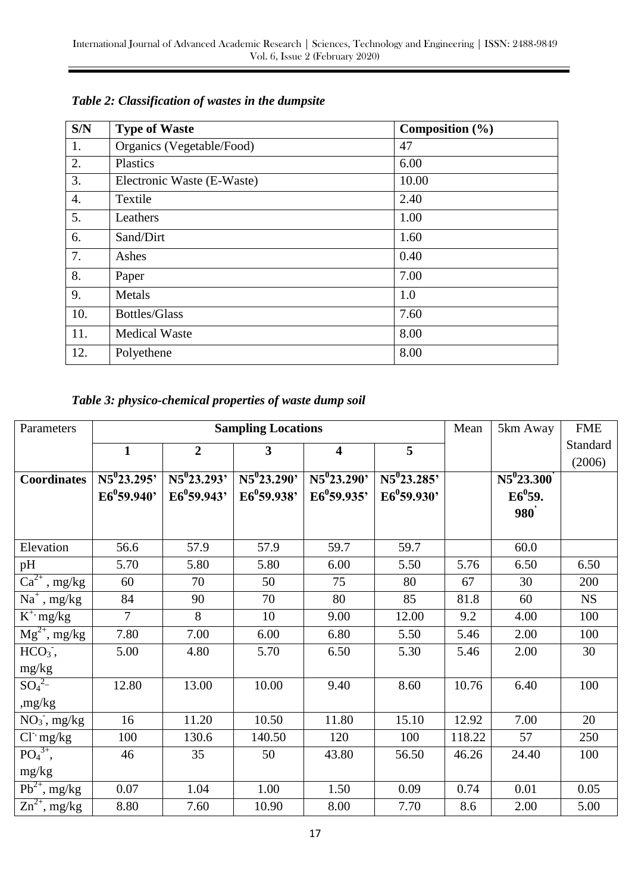| S/N              | <b>Type of Waste</b>       | Composition $(\% )$ |
|------------------|----------------------------|---------------------|
| 1.               | Organics (Vegetable/Food)  | 47                  |
| 2.               | Plastics                   | 6.00                |
| 3.               | Electronic Waste (E-Waste) | 10.00               |
| $\overline{4}$ . | Textile                    | 2.40                |
| 5.               | Leathers                   | 1.00                |
| 6.               | Sand/Dirt                  | 1.60                |
| 7.               | Ashes                      | 0.40                |
| 8.               | Paper                      | 7.00                |
| 9.               | Metals                     | 1.0                 |
| 10.              | <b>Bottles/Glass</b>       | 7.60                |
| 11.              | <b>Medical Waste</b>       | 8.00                |
| 12.              | Polyethene                 | 8.00                |

# *Table 2: Classification of wastes in the dumpsite*

### *Table 3: physico-chemical properties of waste dump soil*

| Parameters                          | <b>Sampling Locations</b>       |                  |                         |                                |                  | Mean   | 5km Away        | <b>FME</b> |
|-------------------------------------|---------------------------------|------------------|-------------------------|--------------------------------|------------------|--------|-----------------|------------|
|                                     | $\mathbf{1}$                    | $\overline{2}$   | $\overline{\mathbf{3}}$ | $\overline{\mathbf{4}}$        | 5                |        |                 | Standard   |
|                                     |                                 |                  |                         |                                |                  |        |                 | (2006)     |
| <b>Coordinates</b>                  | $\overline{\text{N5}^0 23.295}$ | $N5^{0}$ 23.293' | $N5^{0}$ 23.290'        | $\overline{\text{N5}^023.290}$ | $N5^{0}$ 23.285' |        | $N5^{0}$ 23.300 |            |
|                                     | $E6^{0}59.940'$                 | $E6^{0}59.943'$  | $E6^{0}59.938'$         | $E6^{0}59.935'$                | $E6^059.930'$    |        | $E6^{0}59.$     |            |
|                                     |                                 |                  |                         |                                |                  |        | <b>980</b>      |            |
|                                     |                                 |                  |                         |                                |                  |        |                 |            |
| Elevation                           | 56.6                            | 57.9             | 57.9                    | 59.7                           | 59.7             |        | 60.0            |            |
| pH                                  | 5.70                            | 5.80             | 5.80                    | 6.00                           | 5.50             | 5.76   | 6.50            | 6.50       |
| $\overline{\text{Ca}^{2+}$ , mg/kg  | 60                              | 70               | 50                      | 75                             | 80               | 67     | 30              | 200        |
| $Na^+$ , mg/kg                      | 84                              | 90               | 70                      | 80                             | 85               | 81.8   | 60              | <b>NS</b>  |
| $\overline{K}^{+}$ mg/kg            | $\overline{7}$                  | 8                | 10                      | 9.00                           | 12.00            | 9.2    | 4.00            | 100        |
| $Mg^{2+}$ , mg/kg                   | 7.80                            | 7.00             | 6.00                    | 6.80                           | 5.50             | 5.46   | 2.00            | 100        |
| $HCO3$ ,                            | 5.00                            | 4.80             | 5.70                    | 6.50                           | 5.30             | 5.46   | 2.00            | 30         |
| mg/kg                               |                                 |                  |                         |                                |                  |        |                 |            |
| $SO_4^2$ -                          | 12.80                           | 13.00            | 10.00                   | 9.40                           | 8.60             | 10.76  | 6.40            | 100        |
| ,mg/kg                              |                                 |                  |                         |                                |                  |        |                 |            |
| $NO_3$ , mg/kg                      | 16                              | 11.20            | 10.50                   | 11.80                          | 15.10            | 12.92  | 7.00            | 20         |
| $Cl3$ mg/kg                         | 100                             | 130.6            | 140.50                  | 120                            | 100              | 118.22 | 57              | 250        |
| $PO43+,$                            | 46                              | 35               | 50                      | 43.80                          | 56.50            | 46.26  | 24.40           | 100        |
| mg/kg                               |                                 |                  |                         |                                |                  |        |                 |            |
| $Pb^{2+}$ , mg/kg                   | 0.07                            | 1.04             | 1.00                    | 1.50                           | 0.09             | 0.74   | 0.01            | 0.05       |
| $\overline{\text{Zn}^{2+}}$ , mg/kg | 8.80                            | 7.60             | 10.90                   | 8.00                           | 7.70             | 8.6    | 2.00            | 5.00       |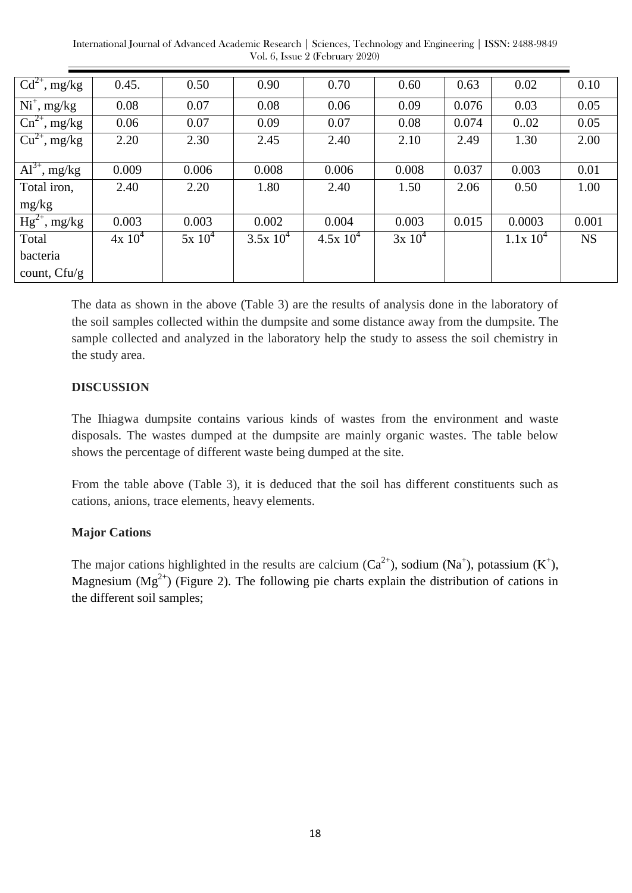International Journal of Advanced Academic Research | Sciences, Technology and Engineering | ISSN: 2488-9849 Vol. 6, Issue 2 (February 2020)

| $\overline{Cd^{2+}}$ , mg/kg              | 0.45.     | 0.50     | 0.90        | 0.70          | 0.60      | 0.63  | 0.02         | 0.10      |
|-------------------------------------------|-----------|----------|-------------|---------------|-----------|-------|--------------|-----------|
| $Ni^+$ , mg/kg                            | 0.08      | 0.07     | 0.08        | 0.06          | 0.09      | 0.076 | 0.03         | 0.05      |
| $\overline{\text{Cn}^{2+}, \text{mg/kg}}$ | 0.06      | 0.07     | 0.09        | 0.07          | 0.08      | 0.074 | 0.02         | 0.05      |
| $Cu^{2+}$ , mg/kg                         | 2.20      | 2.30     | 2.45        | 2.40          | 2.10      | 2.49  | 1.30         | 2.00      |
|                                           |           |          |             |               |           |       |              |           |
| $Al^{3+}$ , mg/kg                         | 0.009     | 0.006    | 0.008       | 0.006         | 0.008     | 0.037 | 0.003        | 0.01      |
| Total iron,                               | 2.40      | 2.20     | 1.80        | 2.40          | 1.50      | 2.06  | 0.50         | 1.00      |
| mg/kg                                     |           |          |             |               |           |       |              |           |
| $Hg^{2+}$ , mg/kg                         | 0.003     | 0.003    | 0.002       | 0.004         | 0.003     | 0.015 | 0.0003       | 0.001     |
| Total                                     | $4x 10^4$ | $5x10^4$ | $3.5x 10^4$ | $4.5x 10^{4}$ | $3x 10^4$ |       | $1.1x\ 10^4$ | <b>NS</b> |
| bacteria                                  |           |          |             |               |           |       |              |           |
| count, $Cf\psi$ g                         |           |          |             |               |           |       |              |           |

The data as shown in the above (Table 3) are the results of analysis done in the laboratory of the soil samples collected within the dumpsite and some distance away from the dumpsite. The sample collected and analyzed in the laboratory help the study to assess the soil chemistry in the study area.

### **DISCUSSION**

The Ihiagwa dumpsite contains various kinds of wastes from the environment and waste disposals. The wastes dumped at the dumpsite are mainly organic wastes. The table below shows the percentage of different waste being dumped at the site.

From the table above (Table 3), it is deduced that the soil has different constituents such as cations, anions, trace elements, heavy elements.

#### **Major Cations**

The major cations highlighted in the results are calcium  $(Ca^{2+})$ , sodium  $(Na^{+})$ , potassium  $(K^{+})$ , Magnesium ( $Mg^{2+}$ ) (Figure 2). The following pie charts explain the distribution of cations in the different soil samples;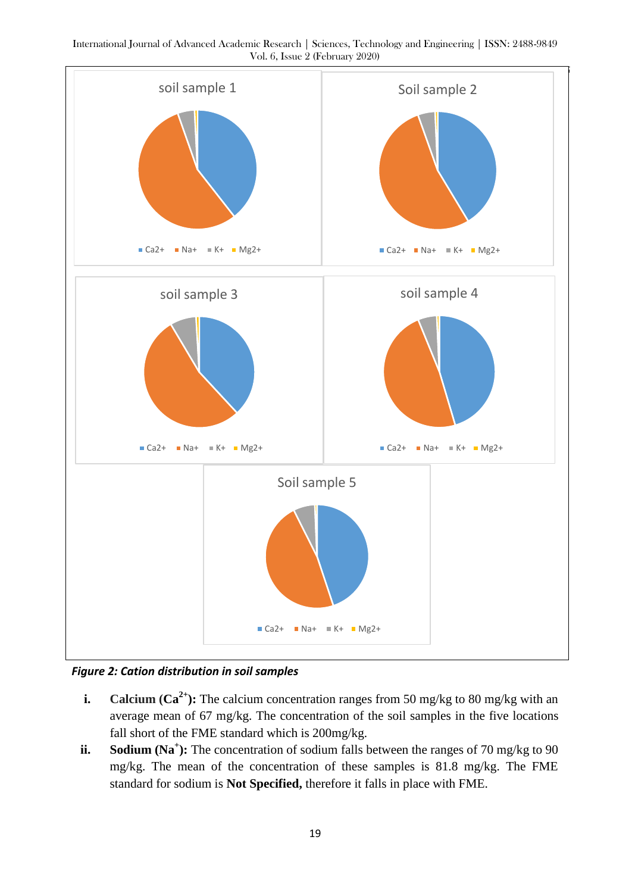International Journal of Advanced Academic Research | Sciences, Technology and Engineering | ISSN: 2488-9849 Vol. 6, Issue 2 (February 2020)



*Figure 2: Cation distribution in soil samples*

- **i. Calcium (Ca<sup>2+</sup>):** The calcium concentration ranges from 50 mg/kg to 80 mg/kg with an average mean of 67 mg/kg. The concentration of the soil samples in the five locations fall short of the FME standard which is 200mg/kg.
- **ii. Sodium (Na<sup>+</sup>):** The concentration of sodium falls between the ranges of 70 mg/kg to 90 mg/kg. The mean of the concentration of these samples is 81.8 mg/kg. The FME standard for sodium is **Not Specified,** therefore it falls in place with FME.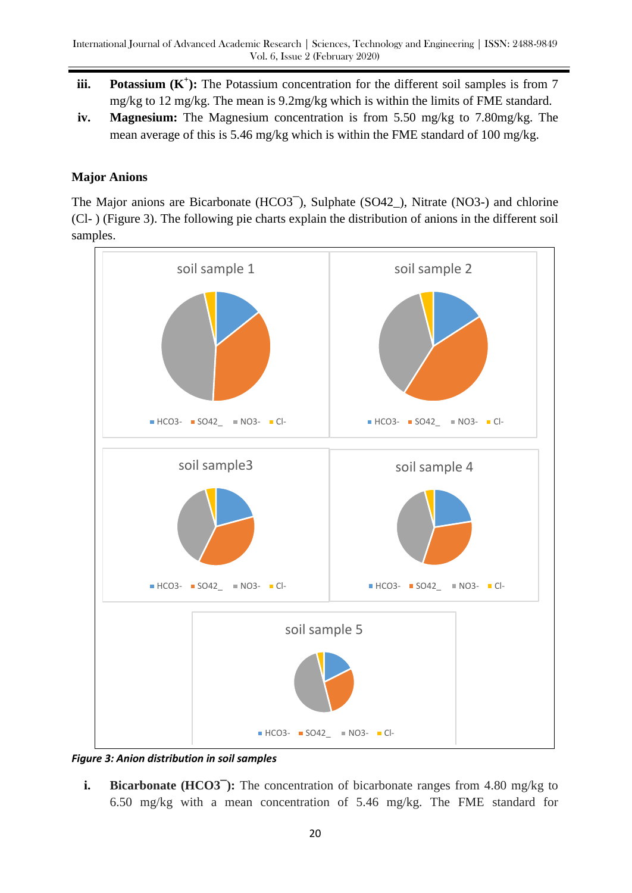- **iii. Potassium**  $(K^+)$ **:** The Potassium concentration for the different soil samples is from 7 mg/kg to 12 mg/kg. The mean is 9.2mg/kg which is within the limits of FME standard.
- **iv. Magnesium:** The Magnesium concentration is from 5.50 mg/kg to 7.80mg/kg. The mean average of this is 5.46 mg/kg which is within the FME standard of 100 mg/kg.

## **Major Anions**

The Major anions are Bicarbonate (HCO3<sup>-</sup>), Sulphate (SO42 ), Nitrate (NO3-) and chlorine (Cl- ) (Figure 3). The following pie charts explain the distribution of anions in the different soil samples.



*Figure 3: Anion distribution in soil samples*

**i. Bicarbonate (HCO3<sup>-</sup>):** The concentration of bicarbonate ranges from 4.80 mg/kg to 6.50 mg/kg with a mean concentration of 5.46 mg/kg. The FME standard for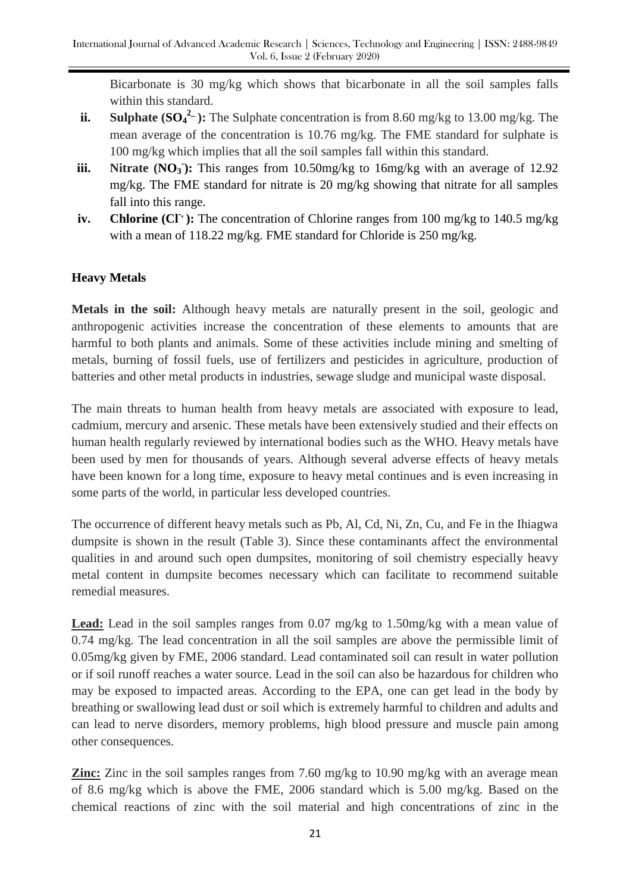Bicarbonate is 30 mg/kg which shows that bicarbonate in all the soil samples falls within this standard.

- **ii.** Sulphate  $(SO_4^2)$ : The Sulphate concentration is from 8.60 mg/kg to 13.00 mg/kg. The mean average of the concentration is 10.76 mg/kg. The FME standard for sulphate is 100 mg/kg which implies that all the soil samples fall within this standard.
- **iii.** Nitrate (NO<sub>3</sub>): This ranges from 10.50mg/kg to 16mg/kg with an average of 12.92 mg/kg. The FME standard for nitrate is 20 mg/kg showing that nitrate for all samples fall into this range.
- **iv. Chlorine (Cl<sup>-</sup>):** The concentration of Chlorine ranges from 100 mg/kg to 140.5 mg/kg with a mean of 118.22 mg/kg. FME standard for Chloride is 250 mg/kg.

# **Heavy Metals**

**Metals in the soil:** Although heavy metals are naturally present in the soil, geologic and anthropogenic activities increase the concentration of these elements to amounts that are harmful to both plants and animals. Some of these activities include mining and smelting of metals, burning of fossil fuels, use of fertilizers and pesticides in agriculture, production of batteries and other metal products in industries, sewage sludge and municipal waste disposal.

The main threats to human health from heavy metals are associated with exposure to lead, cadmium, mercury and arsenic. These metals have been extensively studied and their effects on human health regularly reviewed by international bodies such as the WHO. Heavy metals have been used by men for thousands of years. Although several adverse effects of heavy metals have been known for a long time, exposure to heavy metal continues and is even increasing in some parts of the world, in particular less developed countries.

The occurrence of different heavy metals such as Pb, Al, Cd, Ni, Zn, Cu, and Fe in the Ihiagwa dumpsite is shown in the result (Table 3). Since these contaminants affect the environmental qualities in and around such open dumpsites, monitoring of soil chemistry especially heavy metal content in dumpsite becomes necessary which can facilitate to recommend suitable remedial measures.

**Lead:** Lead in the soil samples ranges from 0.07 mg/kg to 1.50mg/kg with a mean value of 0.74 mg/kg. The lead concentration in all the soil samples are above the permissible limit of 0.05mg/kg given by FME, 2006 standard. Lead contaminated soil can result in water pollution or if soil runoff reaches a water source. Lead in the soil can also be hazardous for children who may be exposed to impacted areas. According to the EPA, one can get lead in the body by breathing or swallowing lead dust or soil which is extremely harmful to children and adults and can lead to nerve disorders, memory problems, high blood pressure and muscle pain among other consequences.

**Zinc:** Zinc in the soil samples ranges from 7.60 mg/kg to 10.90 mg/kg with an average mean of 8.6 mg/kg which is above the FME, 2006 standard which is 5.00 mg/kg. Based on the chemical reactions of zinc with the soil material and high concentrations of zinc in the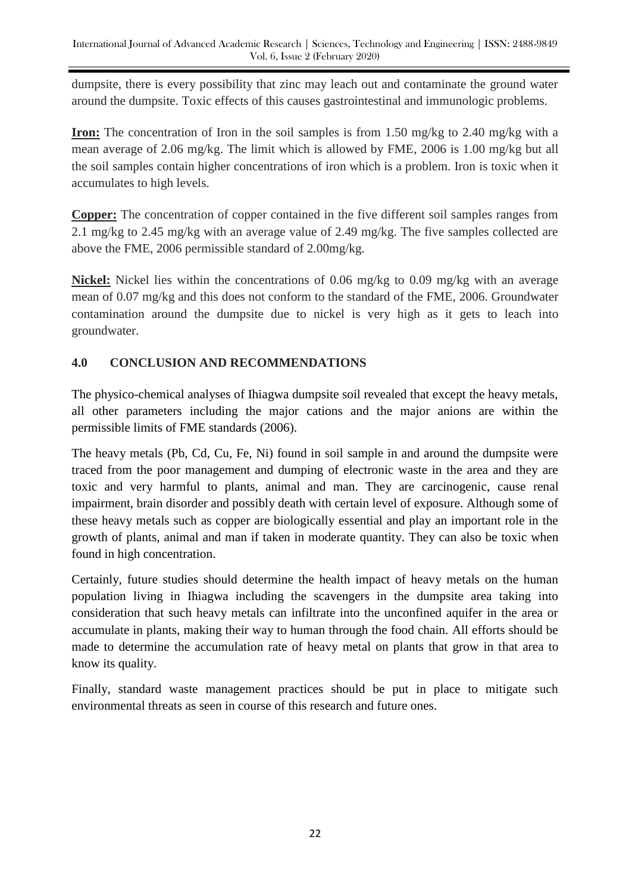dumpsite, there is every possibility that zinc may leach out and contaminate the ground water around the dumpsite. Toxic effects of this causes gastrointestinal and immunologic problems.

**Iron:** The concentration of Iron in the soil samples is from 1.50 mg/kg to 2.40 mg/kg with a mean average of 2.06 mg/kg. The limit which is allowed by FME, 2006 is 1.00 mg/kg but all the soil samples contain higher concentrations of iron which is a problem. Iron is toxic when it accumulates to high levels.

**Copper:** The concentration of copper contained in the five different soil samples ranges from 2.1 mg/kg to 2.45 mg/kg with an average value of 2.49 mg/kg. The five samples collected are above the FME, 2006 permissible standard of 2.00mg/kg.

**Nickel:** Nickel lies within the concentrations of 0.06 mg/kg to 0.09 mg/kg with an average mean of 0.07 mg/kg and this does not conform to the standard of the FME, 2006. Groundwater contamination around the dumpsite due to nickel is very high as it gets to leach into groundwater.

# **4.0 CONCLUSION AND RECOMMENDATIONS**

The physico-chemical analyses of Ihiagwa dumpsite soil revealed that except the heavy metals, all other parameters including the major cations and the major anions are within the permissible limits of FME standards (2006).

The heavy metals (Pb, Cd, Cu, Fe, Ni) found in soil sample in and around the dumpsite were traced from the poor management and dumping of electronic waste in the area and they are toxic and very harmful to plants, animal and man. They are carcinogenic, cause renal impairment, brain disorder and possibly death with certain level of exposure. Although some of these heavy metals such as copper are biologically essential and play an important role in the growth of plants, animal and man if taken in moderate quantity. They can also be toxic when found in high concentration.

Certainly, future studies should determine the health impact of heavy metals on the human population living in Ihiagwa including the scavengers in the dumpsite area taking into consideration that such heavy metals can infiltrate into the unconfined aquifer in the area or accumulate in plants, making their way to human through the food chain. All efforts should be made to determine the accumulation rate of heavy metal on plants that grow in that area to know its quality.

Finally, standard waste management practices should be put in place to mitigate such environmental threats as seen in course of this research and future ones.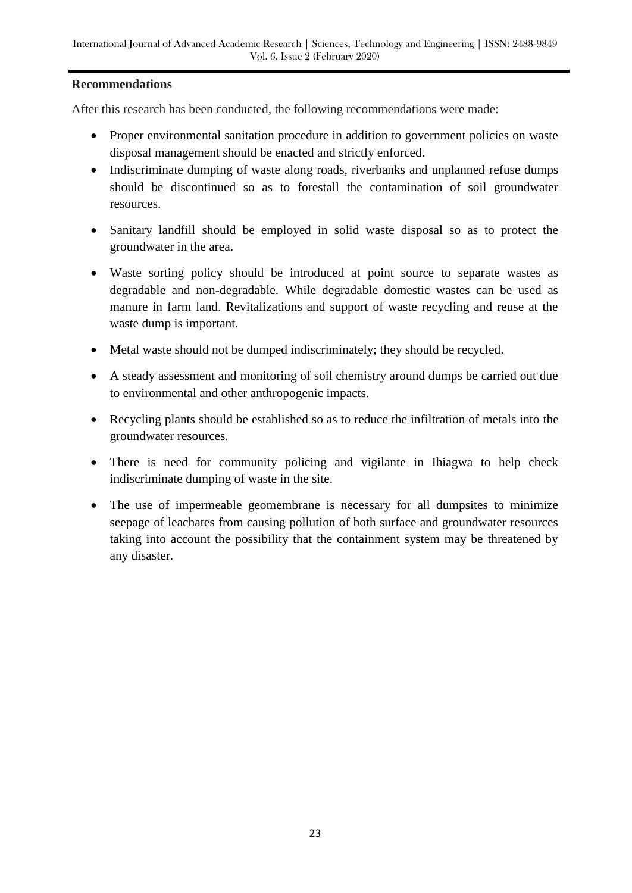## **Recommendations**

After this research has been conducted, the following recommendations were made:

- Proper environmental sanitation procedure in addition to government policies on waste disposal management should be enacted and strictly enforced.
- Indiscriminate dumping of waste along roads, riverbanks and unplanned refuse dumps should be discontinued so as to forestall the contamination of soil groundwater resources.
- Sanitary landfill should be employed in solid waste disposal so as to protect the groundwater in the area.
- Waste sorting policy should be introduced at point source to separate wastes as degradable and non-degradable. While degradable domestic wastes can be used as manure in farm land. Revitalizations and support of waste recycling and reuse at the waste dump is important.
- Metal waste should not be dumped indiscriminately; they should be recycled.
- A steady assessment and monitoring of soil chemistry around dumps be carried out due to environmental and other anthropogenic impacts.
- Recycling plants should be established so as to reduce the infiltration of metals into the groundwater resources.
- There is need for community policing and vigilante in Ihiagwa to help check indiscriminate dumping of waste in the site.
- The use of impermeable geomembrane is necessary for all dumpsites to minimize seepage of leachates from causing pollution of both surface and groundwater resources taking into account the possibility that the containment system may be threatened by any disaster.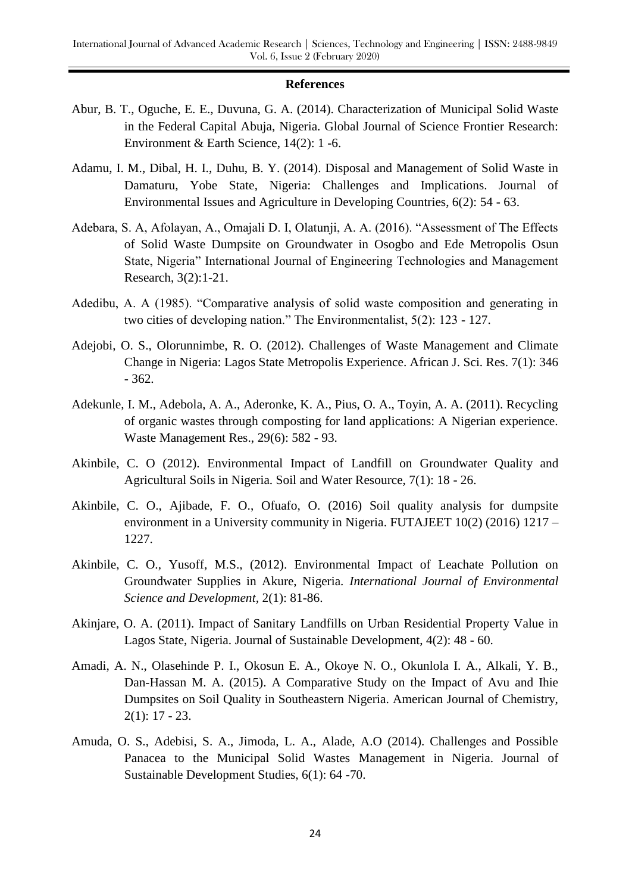#### **References**

- Abur, B. T., Oguche, E. E., Duvuna, G. A. (2014). Characterization of Municipal Solid Waste in the Federal Capital Abuja, Nigeria. Global Journal of Science Frontier Research: Environment & Earth Science, 14(2): 1 -6.
- Adamu, I. M., Dibal, H. I., Duhu, B. Y. (2014). Disposal and Management of Solid Waste in Damaturu, Yobe State, Nigeria: Challenges and Implications. Journal of Environmental Issues and Agriculture in Developing Countries, 6(2): 54 - 63.
- Adebara, S. A, Afolayan, A., Omajali D. I, Olatunji, A. A. (2016). "Assessment of The Effects of Solid Waste Dumpsite on Groundwater in Osogbo and Ede Metropolis Osun State, Nigeria" International Journal of Engineering Technologies and Management Research, 3(2):1-21.
- Adedibu, A. A (1985). "Comparative analysis of solid waste composition and generating in two cities of developing nation." The Environmentalist, 5(2): 123 - 127.
- Adejobi, O. S., Olorunnimbe, R. O. (2012). Challenges of Waste Management and Climate Change in Nigeria: Lagos State Metropolis Experience. African J. Sci. Res. 7(1): 346 - 362.
- Adekunle, I. M., Adebola, A. A., Aderonke, K. A., Pius, O. A., Toyin, A. A. (2011). Recycling of organic wastes through composting for land applications: A Nigerian experience. Waste Management Res., 29(6): 582 - 93.
- Akinbile, C. O (2012). Environmental Impact of Landfill on Groundwater Quality and Agricultural Soils in Nigeria. Soil and Water Resource, 7(1): 18 - 26.
- Akinbile, C. O., Ajibade, F. O., Ofuafo, O. (2016) Soil quality analysis for dumpsite environment in a University community in Nigeria. FUTAJEET 10(2) (2016) 1217 – 1227.
- Akinbile, C. O., Yusoff, M.S., (2012). Environmental Impact of Leachate Pollution on Groundwater Supplies in Akure, Nigeria. *International Journal of Environmental Science and Development,* 2(1): 81-86.
- Akinjare, O. A. (2011). Impact of Sanitary Landfills on Urban Residential Property Value in Lagos State, Nigeria. Journal of Sustainable Development, 4(2): 48 - 60.
- Amadi, A. N., Olasehinde P. I., Okosun E. A., Okoye N. O., Okunlola I. A., Alkali, Y. B., Dan-Hassan M. A. (2015). A Comparative Study on the Impact of Avu and Ihie Dumpsites on Soil Quality in Southeastern Nigeria. American Journal of Chemistry, 2(1): 17 - 23.
- Amuda, O. S., Adebisi, S. A., Jimoda, L. A., Alade, A.O (2014). Challenges and Possible Panacea to the Municipal Solid Wastes Management in Nigeria. Journal of Sustainable Development Studies, 6(1): 64 -70.